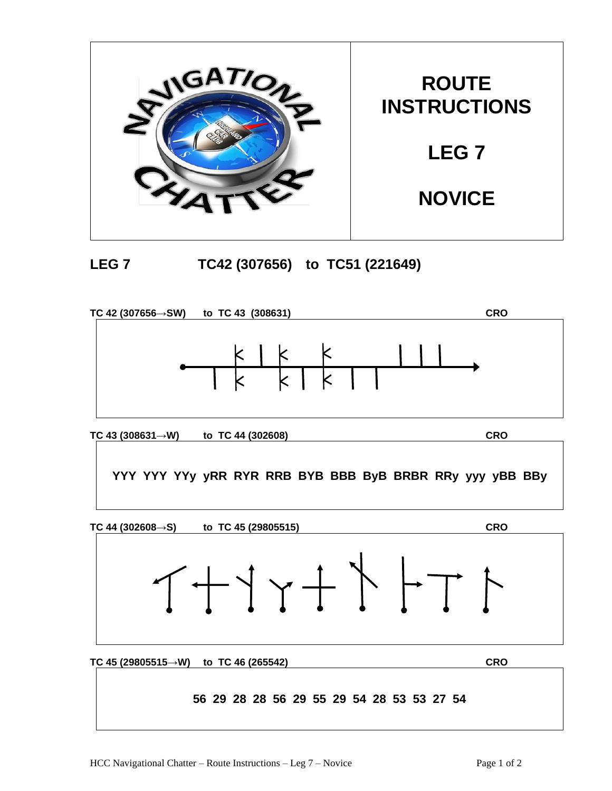





**TC 43 (308631→W) to TC 44 (302608) CRO**

**YYY YYY YYy yRR RYR RRB BYB BBB ByB BRBR RRy yyy yBB BBy**